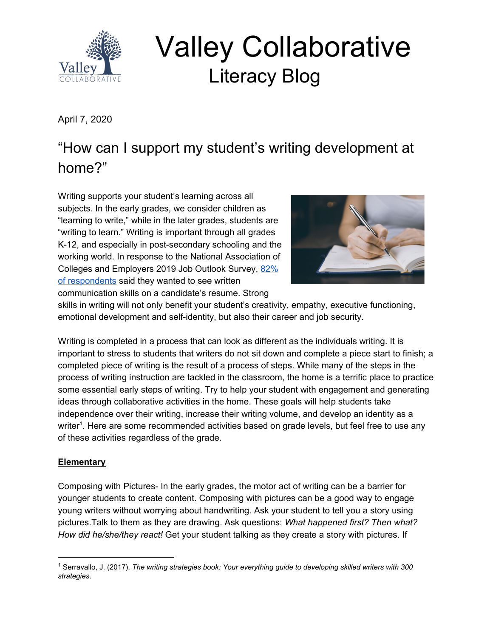

# Valley Collaborative Literacy Blog

April 7, 2020

# "How can I support my student's writing development at home?"

Writing supports your student's learning across all subjects. In the early grades, we consider children as "learning to write," while in the later grades, students are "writing to learn." Writing is important through all grades K-12, and especially in post-secondary schooling and the working world. In response to the National Association of Colleges and Employers 2019 Job Outlook Survey, [82%](https://www.naceweb.org/talent-acquisition/candidate-selection/employers-want-to-see-these-attributes-on-students-resumes/) of [respondents](https://www.naceweb.org/talent-acquisition/candidate-selection/employers-want-to-see-these-attributes-on-students-resumes/) said they wanted to see written communication skills on a candidate's resume. Strong



skills in writing will not only benefit your student's creativity, empathy, executive functioning, emotional development and self-identity, but also their career and job security.

Writing is completed in a process that can look as different as the individuals writing. It is important to stress to students that writers do not sit down and complete a piece start to finish; a completed piece of writing is the result of a process of steps. While many of the steps in the process of writing instruction are tackled in the classroom, the home is a terrific place to practice some essential early steps of writing. Try to help your student with engagement and generating ideas through collaborative activities in the home. These goals will help students take independence over their writing, increase their writing volume, and develop an identity as a writer<sup>1</sup>. Here are some recommended activities based on grade levels, but feel free to use any of these activities regardless of the grade.

## **Elementary**

Composing with Pictures- In the early grades, the motor act of writing can be a barrier for younger students to create content. Composing with pictures can be a good way to engage young writers without worrying about handwriting. Ask your student to tell you a story using pictures.Talk to them as they are drawing. Ask questions: *What happened first? Then what? How did he/she/they react!* Get your student talking as they create a story with pictures. If

<sup>1</sup> Serravallo, J. (2017). *The writing strategies book: Your everything guide to developing skilled writers with 300 strategies*.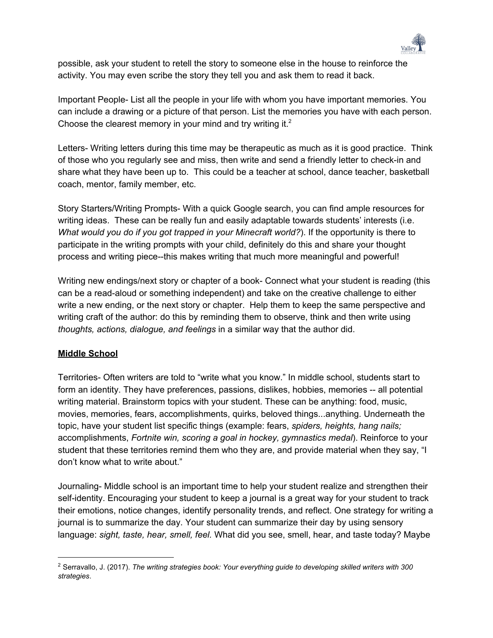

possible, ask your student to retell the story to someone else in the house to reinforce the activity. You may even scribe the story they tell you and ask them to read it back.

Important People- List all the people in your life with whom you have important memories. You can include a drawing or a picture of that person. List the memories you have with each person. Choose the clearest memory in your mind and try writing it. $<sup>2</sup>$ </sup>

Letters- Writing letters during this time may be therapeutic as much as it is good practice. Think of those who you regularly see and miss, then write and send a friendly letter to check-in and share what they have been up to. This could be a teacher at school, dance teacher, basketball coach, mentor, family member, etc.

Story Starters/Writing Prompts- With a quick Google search, you can find ample resources for writing ideas. These can be really fun and easily adaptable towards students' interests (i.e. *What would you do if you got trapped in your Minecraft world?*). If the opportunity is there to participate in the writing prompts with your child, definitely do this and share your thought process and writing piece--this makes writing that much more meaningful and powerful!

Writing new endings/next story or chapter of a book- Connect what your student is reading (this can be a read-aloud or something independent) and take on the creative challenge to either write a new ending, or the next story or chapter. Help them to keep the same perspective and writing craft of the author: do this by reminding them to observe, think and then write using *thoughts, actions, dialogue, and feelings* in a similar way that the author did.

#### **Middle School**

Territories- Often writers are told to "write what you know." In middle school, students start to form an identity. They have preferences, passions, dislikes, hobbies, memories -- all potential writing material. Brainstorm topics with your student. These can be anything: food, music, movies, memories, fears, accomplishments, quirks, beloved things...anything. Underneath the topic, have your student list specific things (example: fears, *spiders, heights, hang nails;* accomplishments, *Fortnite win, scoring a goal in hockey, gymnastics medal*). Reinforce to your student that these territories remind them who they are, and provide material when they say, "I don't know what to write about."

Journaling- Middle school is an important time to help your student realize and strengthen their self-identity. Encouraging your student to keep a journal is a great way for your student to track their emotions, notice changes, identify personality trends, and reflect. One strategy for writing a journal is to summarize the day. Your student can summarize their day by using sensory language: *sight, taste, hear, smell, feel.* What did you see, smell, hear, and taste today? Maybe

<sup>2</sup> Serravallo, J. (2017). *The writing strategies book: Your everything guide to developing skilled writers with 300 strategies*.